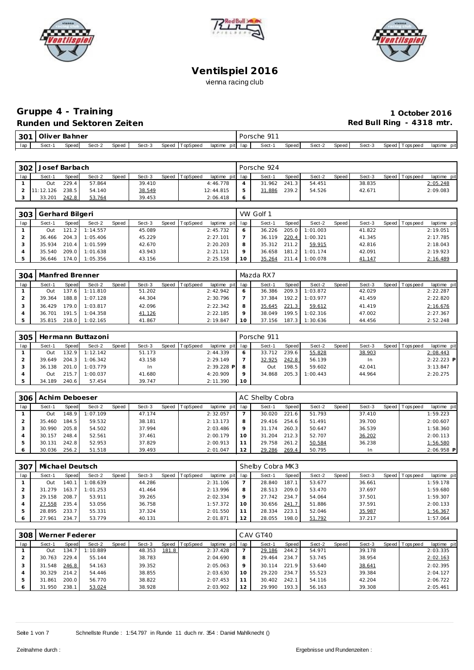





# **Gruppe 4 - Training 1 October 2016**

# **Runden und Sektoren Zeiten Runden und Sektoren Zeiten Red Bull Ring - 4318 mtr.**

| $\cap \cap$<br>-JU | '۱۱۱٬۱۳ | ahner<br>ہر<br>∼<br>the contract of the contract of the contract of the contract of the contract of |        |       |        |       |          |                 | OΓ  | 01<br>∙r hc<br>the contract of the contract of |              |        |       |        |         |          |                |
|--------------------|---------|-----------------------------------------------------------------------------------------------------|--------|-------|--------|-------|----------|-----------------|-----|------------------------------------------------|--------------|--------|-------|--------|---------|----------|----------------|
| lap                | Sect-1  | Speed                                                                                               | Sect-2 | Speeg | Sect-3 | Speed | ™opSpeea | laptime<br>piti | lan | Sect-                                          | <b>Speed</b> | Sect-2 | Speed | Sect-3 | Speed I | ops peed | pit<br>laptime |

| 302 | Josef Barbach |       |        |              |        |       |          |                 |    | Porsche 924 |       |        |       |        |                 |             |
|-----|---------------|-------|--------|--------------|--------|-------|----------|-----------------|----|-------------|-------|--------|-------|--------|-----------------|-------------|
| lap | Sect-1        | Speed | Sect-2 | <b>Speed</b> | Sect-3 | Speed | TopSpeed | laptime pit lap |    | Sect-1      | Speed | Sect-2 | Speed | Sect-3 | Speed Tops peed | laptime pit |
|     | Out           | 229.4 | 57.864 |              | 39.410 |       |          | 4:46.778        |    | 31.962      | 241.3 | 54.451 |       | 38.835 |                 | 2:05.248    |
|     | 11:12.126     | 238.5 | 54.140 |              | 38.549 |       |          | 12:44.815       | b  | 31.886      | 239.2 | 54.526 |       | 42.671 |                 | 2:09.083    |
|     | 33.201        | 242.8 | 53.764 |              | 39.453 |       |          | 2:06.418        | -6 |             |       |        |       |        |                 |             |

| 303 | Gerhard Bilgeri |       |          |       |        |       |          |                 |    | VW Golf 1    |       |          |       |        |                 |             |
|-----|-----------------|-------|----------|-------|--------|-------|----------|-----------------|----|--------------|-------|----------|-------|--------|-----------------|-------------|
| lap | Sect-1          | Speed | Sect-2   | Speed | Sect-3 | Speed | TopSpeed | laptime pit lap |    | Sect-1       | Speed | Sect-2   | Speed | Sect-3 | Speed Tops peed | laptime pit |
|     | Out             | 121   | 1:14.557 |       | 45.089 |       |          | 2:45.732        |    | 36.226       | 205.0 | 1:01.003 |       | 41.822 |                 | 2:19.051    |
|     | 36.466          | 204.3 | 1:05.406 |       | 45.229 |       |          | 2:27.101        |    | 36.119       | 220.4 | 1:00.321 |       | 41.345 |                 | 2:17.785    |
|     | 35.934          | 210.4 | 1:01.599 |       | 42.670 |       |          | 2:20.203        | 8  | 35.312 211.2 |       | 59.915   |       | 42.816 |                 | 2:18.043    |
|     | 35.540          | 209.0 | 1:01.638 |       | 43.943 |       |          | 2: 21.121       |    | 36.658       | 181.2 | 1:01.174 |       | 42.091 |                 | 2:19.923    |
|     | 36.646          | 174.0 | 1:05.356 |       | 43.156 |       |          | 2:25.158        | 10 | 35.264       | 211.4 | 1:00.078 |       | 41.147 |                 | 2:16.489    |

| 304 | Manfred Brenner |       |                  |       |        |                |                 |         | Mazda RX7 |       |                |       |        |                 |             |
|-----|-----------------|-------|------------------|-------|--------|----------------|-----------------|---------|-----------|-------|----------------|-------|--------|-----------------|-------------|
| lap | Sect-1          | Speed | Sect-2           | Speed | Sect-3 | Speed TopSpeed | laptime pit lap |         | Sect-1    | Speed | Sect-2         | Speed | Sect-3 | Speed Tops peed | laptime pit |
|     | Out             |       | 137.6 1:11.810   |       | 51.202 |                | 2:42.942        |         | 36.386    |       | 209.3 1:03.872 |       | 42.029 |                 | 2:22.287    |
|     | 39.364          |       | 188.8 1:07.128   |       | 44.304 |                | 2:30.796        |         | 37.384    |       | 192.2 1:03.977 |       | 41.459 |                 | 2:22.820    |
|     | 36.429          |       | 179.0 1:03.817   |       | 42.096 |                | 2:22.342        | 8       | 35.645    | 221.3 | 59.612         |       | 41.419 |                 | 2:16.676    |
|     | 36.701          |       | $191.5$ 1:04.358 |       | 41.126 |                | 2:22.185        | $\circ$ | 38.049    |       | 199.5 1:02.316 |       | 47.002 |                 | 2:27.367    |
|     | 35.815          |       | 218.0 1:02.165   |       | 41.867 |                | 2:19.847        | 10      | 37.156    |       | 187.3 1:30.636 |       | 44.456 |                 | 2:52.248    |

| 305 |        |         | Hermann Buttazoni |       |        |       |          |                 |    | Porsche 911 |       |          |       |        |                |              |
|-----|--------|---------|-------------------|-------|--------|-------|----------|-----------------|----|-------------|-------|----------|-------|--------|----------------|--------------|
| lap | Sect-1 | Speed   | Sect-2            | Speed | Sect-3 | Speed | TopSpeed | laptime pit lap |    | Sect-1      | Speed | Sect-2   | Speed | Sect-3 | Speed Topspeed | laptime pit  |
|     | Out    | 132.9 I | 1:12.142          |       | 51.173 |       |          | 2:44.339        |    | 33.712      | 239.6 | 55.828   |       | 38.903 |                | 2:08.443     |
|     | 39.649 | 204.3   | 1:06.342          |       | 43.158 |       |          | 2:29.149        |    | 32.925      | 242.8 | 56.139   |       | In     |                | $2:22.223$ P |
|     | 36.138 | 201.0   | 1:03.779          |       | In     |       |          | 2:39.228 P      |    | Out         | 198.5 | 59.602   |       | 42.041 |                | 3:13.847     |
|     | Out    | 215.7   | 1:00.037          |       | 41.680 |       |          | 4:20.909        |    | 34.868      | 205.3 | 1:00.443 |       | 44.964 |                | 2:20.275     |
|     | 34.189 | 240.6   | 57.454            |       | 39.747 |       |          | 2:11.390        | 10 |             |       |          |       |        |                |              |

| 306 | Achim Deboeser |       |          |              |        |       |                 |             |     | AC Shelby Cobra |       |        |       |        |              |            |              |
|-----|----------------|-------|----------|--------------|--------|-------|-----------------|-------------|-----|-----------------|-------|--------|-------|--------|--------------|------------|--------------|
| lap | Sect-1         | Speed | Sect-2   | <b>Speed</b> | Sect-3 | Speed | <b>TopSpeed</b> | laptime pit | lap | Sect-1          | Speed | Sect-2 | Speed | Sect-3 | <b>Speed</b> | Fops pee d | laptime pit  |
|     | Out            | 148.9 | 1:07.109 |              | 47.174 |       |                 | 2:32.057    |     | 30.020          | 221.6 | 51.793 |       | 37.410 |              |            | 1:59.223     |
|     | 35.460         | 184.5 | 59.532   |              | 38.181 |       |                 | 2:13.173    | 8   | 29.416          | 254.6 | 51.491 |       | 39.700 |              |            | 2:00.607     |
|     | 30.990         | 205.8 | 54.502   |              | 37.994 |       |                 | 2:03.486    |     | 31.174          | 260.3 | 50.647 |       | 36.539 |              |            | 1:58.360     |
|     | 30.157         | 248.4 | 52.561   |              | 37.461 |       |                 | 2:00.179    |     | 31.204          | 212.3 | 52.707 |       | 36.202 |              |            | 2:00.113     |
|     | 30.131         | 242.8 | 52.953   |              | 37.829 |       |                 | 2:00.913    |     | 29.758          | 261.2 | 50.584 |       | 36.238 |              |            | 1:56.580     |
|     | 30.036         | 256.2 | 51.518   |              | 39.493 |       |                 | 2:01.047    | 12  | 29.286          | 269.4 | 50.795 |       | In     |              |            | $2:06.958$ P |

| 307 | Michael Deutsch |       |          |       |        |                  |             |         | Shelby Cobra MK3 |       |        |       |        |                |             |
|-----|-----------------|-------|----------|-------|--------|------------------|-------------|---------|------------------|-------|--------|-------|--------|----------------|-------------|
| lap | Sect-1          | Speed | Sect-2   | Speed | Sect-3 | Speed   TopSpeed | laptime pit | lap     | Sect-1           | Speed | Sect-2 | Speed | Sect-3 | Speed Topspeed | laptime pit |
|     | Out             | 140.  | 1:08.639 |       | 44.286 |                  | 2:31.106    |         | 28.840           | 187.1 | 53.677 |       | 36.661 |                | 1:59.178    |
|     | 31.279          | 163.7 | 1:01.253 |       | 41.464 |                  | 2:13.996    | 8       | 28.513           | 209.0 | 53.470 |       | 37.697 |                | 1:59.680    |
| 3   | 29.158          | 208.7 | 53.911   |       | 39.265 |                  | 2:02.334    | $\circ$ | 27.742           | 234.7 | 54.064 |       | 37.501 |                | 1:59.307    |
|     | 27.558          | 235.4 | 53.056   |       | 36.758 |                  | 1:57.372    | 10      | 30.656           | 241.7 | 51.886 |       | 37.591 |                | 2:00.133    |
|     | 28.895          | 233.7 | 55.331   |       | 37.324 |                  | 2:01.550    | 11      | 28.334           | 223.1 | 52.046 |       | 35.987 |                | 1:56.367    |
| 6   | 27.961          | 234.7 | 53.779   |       | 40.131 |                  | 2:01.871    | 12      | 28.055           | 198.0 | 51.792 |       | 37.217 |                | 1:57.064    |

| 308 | Werner Federer |       |          |       |        |       |                 |             |         | CAV GT40 |         |        |       |        |                 |             |
|-----|----------------|-------|----------|-------|--------|-------|-----------------|-------------|---------|----------|---------|--------|-------|--------|-----------------|-------------|
| lap | Sect-1         | Speed | Sect-2   | Speed | Sect-3 | Speed | <b>TopSpeed</b> | laptime pit | lap     | Sect-1   | Speed I | Sect-2 | Speed | Sect-3 | Speed Tops peed | laptime pit |
|     | Out            | 34    | 1:10.889 |       | 48.353 | 181.8 |                 | 2:37.428    |         | 29.186   | 244.2   | 54.971 |       | 39.178 |                 | 2:03.335    |
|     | 30.763         | 229.4 | 55.144   |       | 38.783 |       |                 | 2:04.690    | 8       | 29.464   | 234.7   | 53.745 |       | 38.954 |                 | 2:02.163    |
|     | 31.548         | 246.8 | 54.163   |       | 39.352 |       |                 | 2:05.063    | $\circ$ | 30.114   | 221.9   | 53.640 |       | 38.641 |                 | 2:02.395    |
|     | 30.329         | 214.2 | 54.446   |       | 38.855 |       |                 | 2:03.630    | 10      | 29.220   | 234.7   | 55.523 |       | 39.384 |                 | 2:04.127    |
|     | 31.861         | 200.0 | 56.770   |       | 38.822 |       |                 | 2:07.453    |         | 30.402   | 242.1   | 54.116 |       | 42.204 |                 | 2:06.722    |
|     | 31.950         | 238.  | 53.024   |       | 38.928 |       |                 | 2:03.902    | 12      | 29.990   | 193.3   | 56.163 |       | 39.308 |                 | 2:05.461    |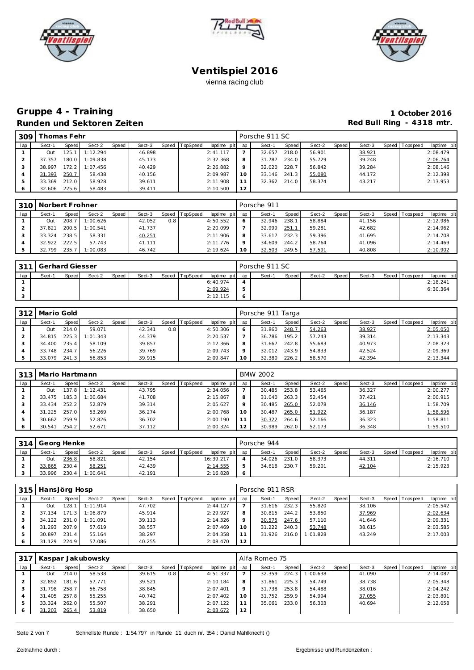





### **Gruppe 4 - Training 1 October 2016 Runden und Sektoren Zeiten Runden und Sektoren Zeiten Red Bull Ring - 4318 mtr.**

| 309 |        | 'homas Fehr |          |       |        |                |                 |          | Porsche 911 SC |       |        |       |        |                 |             |
|-----|--------|-------------|----------|-------|--------|----------------|-----------------|----------|----------------|-------|--------|-------|--------|-----------------|-------------|
| lap | Sect-1 | Speed       | Sect-2   | Speed | Sect-3 | Speed TopSpeed | laptime pit lap |          | Sect-1         | Speed | Sect-2 | Speed | Sect-3 | Speed Tops peed | laptime pit |
|     | Out    | 125.        | 1:12.294 |       | 46.898 |                | 2:41.117        |          | 32.657         | 218.0 | 56.901 |       | 38.921 |                 | 2:08.479    |
|     | 37.357 | 180.0       | 1:09.838 |       | 45.173 |                | 2:32.368        | 8        | 31.787         | 234.0 | 55.729 |       | 39.248 |                 | 2:06.764    |
|     | 38.997 | 172.2       | 1:07.456 |       | 40.429 |                | 2:26.882        | $\Omega$ | 32.020         | 228.7 | 56.842 |       | 39.284 |                 | 2:08.146    |
| 4   | 31.393 | 250.7       | 58.438   |       | 40.156 |                | 2:09.987        | 10       | 33.146         | 241.3 | 55.080 |       | 44.172 |                 | 2:12.398    |
| 5   | 33.369 | 212.0       | 58.928   |       | 39.611 |                | 2:11.908        |          | 32.362         | 214.0 | 58.374 |       | 43.217 |                 | 2:13.953    |
|     | 32.606 | 225.6       | 58.483   |       | 39.411 |                | 2:10.500        | 12       |                |       |        |       |        |                 |             |

|     | 310   Norbert Frohner |       |          |       |        |       |          |                 |    | Porsche 911 |       |        |       |        |                 |             |
|-----|-----------------------|-------|----------|-------|--------|-------|----------|-----------------|----|-------------|-------|--------|-------|--------|-----------------|-------------|
| lap | Sect-1                | Speed | Sect-2   | Speed | Sect-3 | Speed | TopSpeed | laptime pit lap |    | Sect-1      | Speed | Sect-2 | Speed | Sect-3 | Speed Tops peed | laptime pit |
|     | Out                   | 208.7 | 1:00.626 |       | 42.052 | 0.8   |          | 4:50.552        |    | 32.946      | 238.1 | 58.884 |       | 41.156 |                 | 2:12.986    |
|     | 37.821                | 200.5 | 1:00.541 |       | 41.737 |       |          | 2:20.099        |    | 32.999      | 251.1 | 59.281 |       | 42.682 |                 | 2:14.962    |
|     | 33.324                | 238.5 | 58.331   |       | 40.251 |       |          | 2:11.906        | 8  | 33.617      | 232.3 | 59.396 |       | 41.695 |                 | 2:14.708    |
|     | 32.922                | 222.5 | 57.743   |       | 41.111 |       |          | 2:11.776        |    | 34.609      | 244.2 | 58.764 |       | 41.096 |                 | 2:14.469    |
|     | 32.799                | 235.7 | 1:00.083 |       | 46.742 |       |          | 2:19.624        | 10 | 32.503      | 249.5 | 57.591 |       | 40.808 |                 | 2:10.902    |

| 311 | Gerhard Giesser |       |        |       |        |                |                 | Porsche 911 SC |       |        |         |        |                 |             |
|-----|-----------------|-------|--------|-------|--------|----------------|-----------------|----------------|-------|--------|---------|--------|-----------------|-------------|
| lap | Sect-1          | Speed | Sect-2 | Speed | Sect-3 | Speed TopSpeed | laptime pit lap | Sect-1         | Speed | Sect-2 | Speed I | Sect-3 | Speed Tops peed | laptime pit |
|     |                 |       |        |       |        |                | 6:40.974        |                |       |        |         |        |                 | 2:18.241    |
|     |                 |       |        |       |        |                | 2:09.924        |                |       |        |         |        |                 | 6:30.364    |
|     |                 |       |        |       |        |                | 2:12.115        |                |       |        |         |        |                 |             |

| 312 | Mario Gold |       |          |       |        |       |          |                 |    | Porsche 911 Targa |       |        |       |        |                |             |
|-----|------------|-------|----------|-------|--------|-------|----------|-----------------|----|-------------------|-------|--------|-------|--------|----------------|-------------|
| lap | Sect-1     | Speed | Sect-2   | Speed | Sect-3 | Speed | TopSpeed | laptime pit lap |    | Sect-1            | Speed | Sect-2 | Speed | Sect-3 | Speed Topspeed | laptime pit |
|     | Out        | 214.0 | 59.071   |       | 42.341 | 0.8   |          | 4:50.306        |    | 31.860            | 248.7 | 54.263 |       | 38.927 |                | 2:05.050    |
|     | 34.815     | 225.3 | 1:01.343 |       | 44.379 |       |          | 2:20.537        |    | 36.786            | 195.2 | 57.243 |       | 39.314 |                | 2:13.343    |
|     | 34.400     | 235.4 | 58.109   |       | 39.857 |       |          | 2:12.366        |    | 31.667            | 242.8 | 55.683 |       | 40.973 |                | 2:08.323    |
|     | 33.748     | 234.7 | 56.226   |       | 39.769 |       |          | 2:09.743        |    | 32.012            | 243.9 | 54.833 |       | 42.524 |                | 2:09.369    |
|     | 33.079     | 241.3 | 56.853   |       | 39.915 |       |          | 2:09.847        | 10 | 32.380            | 226.2 | 58.570 |       | 42.394 |                | 2:13.344    |

| 313 | Mario Hartmann |       |          |       |        |       |          |                 |    | <b>BMW 2002</b> |       |        |       |        |                 |             |
|-----|----------------|-------|----------|-------|--------|-------|----------|-----------------|----|-----------------|-------|--------|-------|--------|-----------------|-------------|
| lap | Sect-1         | Speed | Sect-2   | Speed | Sect-3 | Speed | TopSpeed | laptime pit lap |    | Sect-1          | Speed | Sect-2 | Speed | Sect-3 | Speed Tops peed | laptime pit |
|     | Out            | 37.8  | 1:12.431 |       | 43.795 |       |          | 2:34.056        |    | 30.485          | 253.8 | 53.465 |       | 36.327 |                 | 2:00.277    |
|     | 33.475         | 185.3 | 1:00.684 |       | 41.708 |       |          | 2:15.867        | 8  | 31.040          | 263.3 | 52.454 |       | 37.421 |                 | 2:00.915    |
|     | 33.434         | 252.2 | 52.879   |       | 39.314 |       |          | 2:05.627        |    | 30.485          | 265.0 | 52.078 |       | 36.146 |                 | 1:58.709    |
|     | 31.225         | 257.0 | 53.269   |       | 36.274 |       |          | 2:00.768        | 10 | 30.487          | 265.0 | 51.922 |       | 36.187 |                 | 1:58.596    |
|     | 30.662         | 259.9 | 52.826   |       | 36.702 |       |          | 2:00.190        |    | 30.322          | 264.6 | 52.166 |       | 36.323 |                 | 1:58.811    |
|     | 30.541         | 254.2 | 52.671   |       | 37.112 |       |          | 2:00.324        | 12 | 30.989          | 262.0 | 52.173 |       | 36.348 |                 | 1:59.510    |

|     | 314 Georg Henke<br>Speed<br>Speed TopSpeed<br>Sect-2<br>Sect-3<br>Sect-1<br><b>Speed</b><br>236.8<br>58.821<br>42.154<br>Out |       |          |  |        |  |  |                 | Porsche 944 |         |        |       |        |                |             |
|-----|------------------------------------------------------------------------------------------------------------------------------|-------|----------|--|--------|--|--|-----------------|-------------|---------|--------|-------|--------|----------------|-------------|
| lap |                                                                                                                              |       |          |  |        |  |  | laptime pit lap | Sect-1      | Speed i | Sect-2 | Speed | Sect-3 | Speed Topspeed | laptime pit |
|     |                                                                                                                              |       |          |  |        |  |  | 16:39.217       | 34.026      | 231.0   | 58.373 |       | 44.311 |                | 2:16.710    |
|     | 33.865                                                                                                                       | 230.4 | 58.251   |  | 42.439 |  |  | 2:14.555        | 34.618      | 230.7   | 59.201 |       | 42.104 |                | 2:15.923    |
|     | 33.996                                                                                                                       | 230.4 | 1:00.641 |  | 42.191 |  |  | 2:16.828        |             |         |        |       |        |                |             |

| 315 | HansJörg Hosp |                      |          |              |        |                |             |             | Porsche 911 RSR |       |          |              |        |                |             |
|-----|---------------|----------------------|----------|--------------|--------|----------------|-------------|-------------|-----------------|-------|----------|--------------|--------|----------------|-------------|
| lap | Sect-1        | Speed                | Sect-2   | <b>Speed</b> | Sect-3 | Speed TopSpeed | laptime pit | lap         | Sect-1          | Speed | Sect-2   | <b>Speed</b> | Sect-3 | Speed Topspeed | laptime pit |
|     | Out           | 128.1                | 1:11.914 |              | 47.702 |                | 2: 44.127   |             | 31.616          | 232.3 | 55.820   |              | 38.106 |                | 2:05.542    |
|     | 37.134        | $\mathcal{R}$<br>171 | 1:06.879 |              | 45.914 |                | 2:29.927    | 8           | 30.815          | 244.2 | 53.850   |              | 37.969 |                | 2:02.634    |
|     | 34.122        | 231.0                | 1:01.091 |              | 39.113 |                | 2:14.326    | $\mathsf Q$ | 30.575          | 247.6 | 57.110   |              | 41.646 |                | 2:09.331    |
|     | 31.293        | 207.9                | 57.619   |              | 38.557 |                | 2:07.469    | 10          | 31.222          | 240.3 | 53.748   |              | 38.615 |                | 2:03.585    |
|     | 30.897        | 231.4                | 55.164   |              | 38.297 |                | 2:04.358    |             | 31.926          | 216.0 | 1:01.828 |              | 43.249 |                | 2:17.003    |
|     | . 129<br>31   | 224.9                | 57.086   |              | 40.255 |                | 2:08.470    | 12          |                 |       |          |              |        |                |             |

| 317 | Kaspar Jakubowsky<br>Sect-2<br>Speed TopSpeed<br>Speed<br>Sect-3<br>Speed<br>Sect-1<br>58.538<br>214.0<br>39.615<br>0.8<br>Out<br>181.6<br>57.771<br>39.521<br>32.892 |       |        |  |        |  |  |             | Alfa Romeo 75 |        |       |          |       |        |                 |             |
|-----|-----------------------------------------------------------------------------------------------------------------------------------------------------------------------|-------|--------|--|--------|--|--|-------------|---------------|--------|-------|----------|-------|--------|-----------------|-------------|
| lap |                                                                                                                                                                       |       |        |  |        |  |  | laptime pit | lap           | Sect-1 | Speed | Sect-2   | Speed | Sect-3 | Speed Tops peed | laptime pit |
|     |                                                                                                                                                                       |       |        |  |        |  |  | 4:51.337    |               | 32.359 | 224.3 | 1:00.638 |       | 41.090 |                 | 2:14.087    |
|     |                                                                                                                                                                       |       |        |  |        |  |  | 2:10.184    | 8             | 31.861 | 225.3 | 54.749   |       | 38.738 |                 | 2:05.348    |
|     | 31.798                                                                                                                                                                | 258.7 | 56.758 |  | 38.845 |  |  | 2:07.401    | $\circ$       | 31.738 | 253.8 | 54.488   |       | 38.016 |                 | 2:04.242    |
| 4   | 31.405                                                                                                                                                                | 257.8 | 55.255 |  | 40.742 |  |  | 2:07.402    | 10            | 31.752 | 259.9 | 54.994   |       | 37.055 |                 | 2:03.801    |
| 5   | 33.324                                                                                                                                                                | 262.0 | 55.507 |  | 38.291 |  |  | 2:07.122    | 11            | 35.061 | 233.0 | 56.303   |       | 40.694 |                 | 2:12.058    |
|     | 31.203                                                                                                                                                                | 265.4 | 53.819 |  | 38.650 |  |  | 2:03.672    | 12            |        |       |          |       |        |                 |             |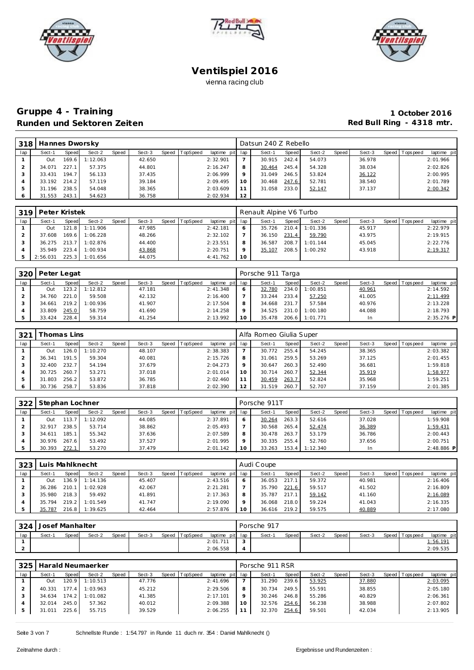





# **Gruppe 4 - Training 1 October 2016** Runden und Sektoren Zeiten **Red Bull Ring - 4318 mtr.**

| 318 L | Hannes Dworsky |       |          |       |        |                |                 |    | Datsun 240 Z Rebello |       |        |       |        |                 |             |
|-------|----------------|-------|----------|-------|--------|----------------|-----------------|----|----------------------|-------|--------|-------|--------|-----------------|-------------|
| lap   | Sect-1         | Speed | Sect-2   | Speed | Sect-3 | Speed TopSpeed | laptime pit lap |    | Sect-1               | Speed | Sect-2 | Speed | Sect-3 | Speed Tops peed | laptime pit |
|       | Out            | 169.6 | 1:12.063 |       | 42.650 |                | 2:32.901        |    | 30.915               | 242.4 | 54.073 |       | 36.978 |                 | 2:01.966    |
|       | 34.071         | 227.1 | 57.375   |       | 44.801 |                | 2:16.247        | 8  | 30.464               | 245.4 | 54.328 |       | 38.034 |                 | 2:02.826    |
| 3     | 33.431         | 194.7 | 56.133   |       | 37.435 |                | 2:06.999        | 9  | 31.049               | 246.5 | 53.824 |       | 36.122 |                 | 2:00.995    |
| 4     | 33.192         | 214.2 | 57.119   |       | 39.184 |                | 2:09.495        | 10 | 30.468               | 247.6 | 52.781 |       | 38.540 |                 | 2:01.789    |
| 5     | 31.196         | 238.5 | 54.048   |       | 38.365 |                | 2:03.609        | 11 | 31.058               | 233.0 | 52.147 |       | 37.137 |                 | 2:00.342    |
| 6     | 31.553         | 243.1 | 54.623   |       | 36.758 |                | 2:02.934        | 12 |                      |       |        |       |        |                 |             |

| 319 | Peter Kristek<br>Sect-2<br>Speed TopSpeed<br>Sect-3<br>Sect-1<br>Speed<br>Speed<br>47.985<br>121.8 I<br>1:11.906<br>Out<br>48.266<br>169.6<br>1:06.228<br>37.608<br>44.400<br>$36.275$ $213.7$<br>1:02.876 |       |          |  |        |  |  |                 | Renault Alpine V6 Turbo |        |         |          |       |        |                |             |
|-----|------------------------------------------------------------------------------------------------------------------------------------------------------------------------------------------------------------|-------|----------|--|--------|--|--|-----------------|-------------------------|--------|---------|----------|-------|--------|----------------|-------------|
| lap |                                                                                                                                                                                                            |       |          |  |        |  |  | laptime pit lap |                         | Sect-1 | Speed I | Sect-2   | Speed | Sect-3 | Speed Topspeed | laptime pit |
|     |                                                                                                                                                                                                            |       |          |  |        |  |  | 2:42.181        |                         | 35.726 | 210.4   | 1:01.336 |       | 45.917 |                | 2:22.979    |
|     |                                                                                                                                                                                                            |       |          |  |        |  |  | 2:32.102        |                         | 36.150 | 231.4   | 59.790   |       | 43.975 |                | 2:19.915    |
|     |                                                                                                                                                                                                            |       |          |  |        |  |  | 2:23.551        | 8                       | 36.587 | 208.7   | 1:01.144 |       | 45.045 |                | 2:22.776    |
|     | 35.949                                                                                                                                                                                                     | 223.4 | 1:00.934 |  | 43.868 |  |  | 2:20.751        |                         | 35.107 | 208.5   | 1:00.292 |       | 43.918 |                | 2:19.317    |
|     | 2:56.031                                                                                                                                                                                                   | 225.3 | 1:01.656 |  | 44.075 |  |  | 4:41.762        | 10                      |        |         |          |       |        |                |             |

| 320 | Peter Legat |           |          |       |        |       |          |                 |    | Porsche 911 Targa |       |          |         |        |                 |              |
|-----|-------------|-----------|----------|-------|--------|-------|----------|-----------------|----|-------------------|-------|----------|---------|--------|-----------------|--------------|
| lap | Sect-1      | Speed     | Sect-2   | Speed | Sect-3 | Speed | TopSpeed | laptime pit lap |    | Sect-1            | Speed | Sect-2   | Speed I | Sect-3 | Speed Tops peed | laptime pit  |
|     | Out         | $123.2$ I | 1:12.812 |       | 47.181 |       |          | 2:41.348        |    | 32.780            | 234.0 | 1:00.851 |         | 40.961 |                 | 2:14.592     |
|     | 34.760      | 221.0     | 59.508   |       | 42.132 |       |          | 2:16.400        |    | 33.244            | 233.4 | 57.250   |         | 41.005 |                 | 2:11.499     |
|     | 34.661      | 219.2     | 1:00.936 |       | 41.907 |       |          | 2:17.504        |    | 34.668            | 231.7 | 57.584   |         | 40.976 |                 | 2:13.228     |
|     | 33.809      | 245.0     | 58.759   |       | 41.690 |       |          | 2:14.258        |    | 34.525            | 231.0 | 1:00.180 |         | 44.088 |                 | 2:18.793     |
|     | 33.424      | 228.4     | 59.314   |       | 41.254 |       |          | 2:13.992        | 10 | 35.478            | 206.6 | 1:01.771 |         |        |                 | $2:35.276$ P |

| 321 |        | `homas Lins |          |              |        |       |          |                 |         | Alfa Romeo Giulia Super |       |        |       |        |                   |             |
|-----|--------|-------------|----------|--------------|--------|-------|----------|-----------------|---------|-------------------------|-------|--------|-------|--------|-------------------|-------------|
| lap | Sect-1 | Speed       | Sect-2   | <b>Speed</b> | Sect-3 | Speed | TopSpeed | laptime pit lap |         | Sect-1                  | Speed | Sect-2 | Speed | Sect-3 | Speed   Tops peed | laptime pit |
|     | Out    | 26.0        | 1:10.270 |              | 48.107 |       |          | 2:38.383        |         | 30.772                  | 255.4 | 54.245 |       | 38.365 |                   | 2:03.382    |
|     | 36.341 | 191.5       | 59.304   |              | 40.081 |       |          | 2:15.726        | 8       | 31.061                  | 259.5 | 53.269 |       | 37.125 |                   | 2:01.455    |
|     | 32.400 | 232.7       | 54.194   |              | 37.679 |       |          | 2:04.273        | $\circ$ | 30.647                  | 260.3 | 52.490 |       | 36.681 |                   | 1:59.818    |
|     | 30.725 | 260.7       | 53.271   |              | 37.018 |       |          | 2:01.014        | 10      | 30.714                  | 260.7 | 52.344 |       | 35.919 |                   | 1:58.977    |
|     | 31.803 | 256.2       | 53.872   |              | 36.785 |       |          | 2:02.460        |         | 30.459                  | 263.7 | 52.824 |       | 35.968 |                   | 1:59.251    |
|     | 30.736 | 258.7       | 53.836   |              | 37.818 |       |          | 2:02.390        | 12      | 31.519                  | 260.7 | 52.707 |       | 37.159 |                   | 2:01.385    |

| 322 | Stephan Lochner |       |          |              |        |       |          |                 |    | Porsche 911T |       |          |       |        |                |             |
|-----|-----------------|-------|----------|--------------|--------|-------|----------|-----------------|----|--------------|-------|----------|-------|--------|----------------|-------------|
| lap | Sect-1          | Speed | Sect-2   | <b>Speed</b> | Sect-3 | Speed | TopSpeed | laptime pit lap |    | Sect-1       | Speed | Sect-2   | Speed | Sect-3 | Speed Topspeed | laptime pit |
|     | Out             | 113.  | 1:12.092 |              | 44.085 |       |          | 2:37.891        |    | 30.264       | 263.3 | 52.616   |       | 37.028 |                | 1:59.908    |
|     | 32.917          | 238.5 | 53.714   |              | 38.862 |       |          | 2:05.493        |    | 30.568       | 265.4 | 52.474   |       | 36.389 |                | 1:59.431    |
|     | 34.611          | 185.  | 55.342   |              | 37.636 |       |          | 2:07.589        |    | 30.478       | 263.7 | 53.179   |       | 36.786 |                | 2:00.443    |
|     | 30.976          | 267.6 | 53.492   |              | 37.527 |       |          | 2:01.995        |    | 30.335       | 255.4 | 52.760   |       | 37.656 |                | 2:00.751    |
|     | 30.393          | 272.1 | 53.270   |              | 37.479 |       |          | 2:01.142        | 10 | 33.263       | 153.4 | 1:12.340 |       |        |                | 2:48.886 P  |

| 323 | Luis Mahlknecht |       |          |       |        |       |          |                 |    | Audi Coupe |       |        |       |        |                |             |
|-----|-----------------|-------|----------|-------|--------|-------|----------|-----------------|----|------------|-------|--------|-------|--------|----------------|-------------|
| lap | Sect-1          | Speed | Sect-2   | Speed | Sect-3 | Speed | TopSpeed | laptime pit lap |    | Sect-1     | Speed | Sect-2 | Speed | Sect-3 | Speed Topspeed | laptime pit |
|     | Out             | 36.9  | 1:14.136 |       | 45.407 |       |          | 2:43.516        |    | 36.053     | 217.1 | 59.372 |       | 40.981 |                | 2:16.406    |
|     | 36.286          | 210.  | 1:02.928 |       | 42.067 |       |          | 2:21.281        |    | 35.790     | 221.6 | 59.517 |       | 41.502 |                | 2:16.809    |
|     | 35.980          | 218.3 | 59.492   |       | 41.891 |       |          | 2:17.363        |    | 35.787     | 217.1 | 59.142 |       | 41.160 |                | 2:16.089    |
|     | 35.794          | 219.2 | 1:01.549 |       | 41.747 |       |          | 2:19.090        |    | 36.068     | 218.0 | 59.224 |       | 41.043 |                | 2:16.335    |
|     | 35.787          | 216.8 | 1:39.625 |       | 42.464 |       |          | 2:57.876        | 10 | 36.616     | 219.2 | 59.575 |       | 40.889 |                | 2:17.080    |

| 324 | Josef Manhalter |       |        |       |        |                |                 | Porsche 917 |       |        |       |        |                   |             |
|-----|-----------------|-------|--------|-------|--------|----------------|-----------------|-------------|-------|--------|-------|--------|-------------------|-------------|
| lap | Sect-1          | Speed | Sect-2 | Speed | Sect-3 | Speed TopSpeed | laptime pit lap | Sect-1      | Speed | Sect-2 | Speed | Sect-3 | Speed   Tops peed | laptime pit |
|     |                 |       |        |       |        |                | 2:01.711        |             |       |        |       |        |                   | 1:56.191    |
|     |                 |       |        |       |        |                | 2:06.558        |             |       |        |       |        |                   | 2:09.535    |

| 325 |        |        | Harald Neumaerker |       |        |                |                 |    | Porsche 911 RSR |       |        |       |        |                 |             |
|-----|--------|--------|-------------------|-------|--------|----------------|-----------------|----|-----------------|-------|--------|-------|--------|-----------------|-------------|
| lap | Sect-1 | Speed  | Sect-2            | Speed | Sect-3 | Speed TopSpeed | laptime pit lap |    | Sect-1          | Speed | Sect-2 | Speed | Sect-3 | Speed Tops peed | laptime pit |
|     | Out    | 20.9   | 1:10.513          |       | 47.776 |                | 2:41.696        |    | 31.290          | 239.6 | 53.925 |       | 37.880 |                 | 2:03.095    |
|     | 40.331 | 77.4   | 1:03.963          |       | 45.212 |                | 2:29.506        |    | 30.734          | 249.5 | 55.591 |       | 38.855 |                 | 2:05.180    |
|     | 34.634 | 174.21 | 1:01.082          |       | 41.385 |                | 2:17.101        |    | 30.246          | 246.8 | 55.286 |       | 40.829 |                 | 2:06.361    |
|     | 32.014 | 245.0  | 57.362            |       | 40.012 |                | 2:09.388        | 10 | 32.576          | 254.6 | 56.238 |       | 38.988 |                 | 2:07.802    |
|     | 31.011 | 225.6  | 55.715            |       | 39.529 |                | 2:06.255        |    | 32.370          | 254.6 | 59.501 |       | 42.034 |                 | 2:13.905    |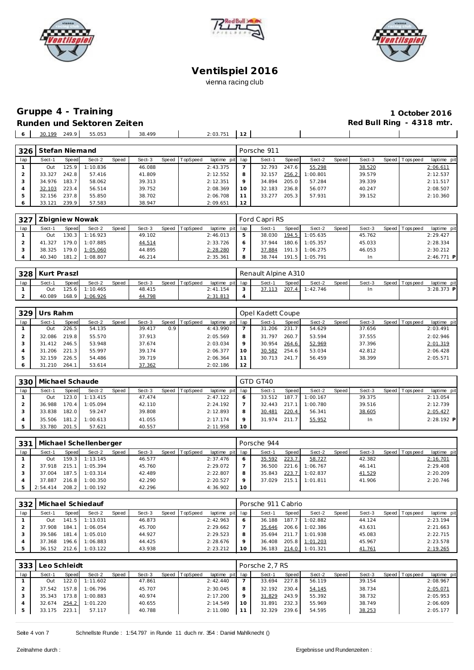





# Gruppe 4 - Training<br>
Runden und Sektoren Zeiten<br> **1 October 2016**<br>
Red Bull Ring - 4318 mtr. **Runden und Sektoren Zeiten**

|     |                                 |        |        |          |        | - - |  |
|-----|---------------------------------|--------|--------|----------|--------|-----|--|
| . . | 210<br>100<br>30.<br>.<br>27 Z. | 55.053 | 38.499 | 2:03.751 | $\sim$ |     |  |
|     |                                 |        |        |          |        |     |  |

| 326     | Stefan Niemand |       |          |       |        |       |          |             |         | Porsche 911 |       |          |       |        |                 |             |
|---------|----------------|-------|----------|-------|--------|-------|----------|-------------|---------|-------------|-------|----------|-------|--------|-----------------|-------------|
| lap     | Sect-1         | Speed | Sect-2   | Speed | Sect-3 | Speed | TopSpeed | laptime pit | lap     | Sect-1      | Speed | Sect-2   | Speed | Sect-3 | Speed Tops peed | laptime pit |
|         | Out            | 25.9  | 1:10.836 |       | 46.088 |       |          | 2:43.375    |         | 32.793      | 247.6 | 55.298   |       | 38.520 |                 | 2:06.611    |
|         | 33.327         | 242.8 | 57.416   |       | 41.809 |       |          | 2:12.552    | 8       | 32.157      | 256.2 | 1:00.801 |       | 39.579 |                 | 2:12.537    |
|         | 34.976         | 183.7 | 58.062   |       | 39.313 |       |          | 2:12.351    | $\circ$ | 34.894      | 205.0 | 57.284   |       | 39.339 |                 | 2:11.517    |
|         | 32.103         | 223.4 | 56.514   |       | 39.752 |       |          | 2:08.369    | 10      | 32.183      | 236.8 | 56.077   |       | 40.247 |                 | 2:08.507    |
| 5       | 32.156         | 237.8 | 55.850   |       | 38.702 |       |          | 2:06.708    |         | 33.277      | 205.3 | 57.931   |       | 39.152 |                 | 2:10.360    |
| $\circ$ | 33.121         | 239.9 | 57.583   |       | 38.947 |       |          | 2:09.651    | 12      |             |       |          |       |        |                 |             |

| 327 | Zbigniew Nowak |       |                |       |        |       |          |                 |   | Ford Capri RS |       |                |       |        |                |              |
|-----|----------------|-------|----------------|-------|--------|-------|----------|-----------------|---|---------------|-------|----------------|-------|--------|----------------|--------------|
| lap | Sect-1         | Speed | Sect-2         | Speed | Sect-3 | Speed | TopSpeed | laptime pit lap |   | Sect-1        | Speed | Sect-2         | Speed | Sect-3 | Speed Topspeed | laptime pit  |
|     | Out            | 130.3 | 1:16.923       |       | 49.102 |       |          | 2:46.013        |   | 38.030        |       | 194.5 1:05.635 |       | 45.762 |                | 2:29.427     |
|     | 41.327         | 179.0 | 1:07.885       |       | 44.514 |       |          | 2:33.726        |   | 37.944        |       | 180.6 1:05.357 |       | 45.033 |                | 2:28.334     |
|     | 38.325         |       | 179.0 1:05.060 |       | 44.895 |       |          | 2:28.280        |   | 37.884        |       | 191.3 1:06.275 |       | 46.053 |                | 2:30.212     |
|     | 40.340         | 181.2 | 1:08.807       |       | 46.214 |       |          | 2:35.361        | 8 | 38.744        |       | 191.5 1:05.791 |       | In     |                | $2:46.771$ P |

|     | 328 Kurt Praszl |       |                |       |        |       |                 |                 | Renault Alpine A310 |       |          |       |        |                 |              |
|-----|-----------------|-------|----------------|-------|--------|-------|-----------------|-----------------|---------------------|-------|----------|-------|--------|-----------------|--------------|
| lap | Sect-1          | Speed | Sect-2         | Speed | Sect-3 | Speed | <b>TopSpeed</b> | laptime pit lap | Sect-1              | Speed | Sect-2   | Speed | Sect-3 | Speed Tops peed | laptime pit  |
|     | Out             |       | 125.6 1:10.465 |       | 48.415 |       |                 | 2: 41.154       | 37.113              | 207.4 | 1:42.746 |       |        |                 | $3:28.373$ P |
|     | 40.089          |       | 168.9 1:06.926 |       | 44.798 |       |                 | 2:31.813        |                     |       |          |       |        |                 |              |

| 329          | Urs Rahm |       |        |       |        |       |          |                 |         | Opel Kadett Coupe |       |        |       |        |                |             |
|--------------|----------|-------|--------|-------|--------|-------|----------|-----------------|---------|-------------------|-------|--------|-------|--------|----------------|-------------|
| lap          | Sect-1   | Speed | Sect-2 | Speed | Sect-3 | Speed | TopSpeed | laptime pit lap |         | Sect-1            | Speed | Sect-2 | Speed | Sect-3 | Speed Topspeed | laptime pit |
|              | Out      | 226.5 | 54.135 |       | 39.417 | 0.9   |          | 4:43.990        |         | 31.206            | 231.7 | 54.629 |       | 37.656 |                | 2:03.491    |
|              | 32.086   | 219.8 | 55.570 |       | 37.913 |       |          | 2:05.569        | 8       | 31.797            | 260.7 | 53.594 |       | 37.555 |                | 2:02.946    |
|              | 31.412   | 246.5 | 53.948 |       | 37.674 |       |          | 2:03.034        | $\circ$ | 30.954            | 264.6 | 52.969 |       | 37.396 |                | 2:01.319    |
|              | 31.206   | 221.3 | 55.997 |       | 39.174 |       |          | 2:06.377        | 10      | 30.582            | 254.6 | 53.034 |       | 42.812 |                | 2:06.428    |
| 5            | 32.159   | 226.5 | 54.486 |       | 39.719 |       |          | 2:06.364        |         | 30.713            | 241.7 | 56.459 |       | 38.399 |                | 2:05.571    |
| <sup>6</sup> | 31.210   | 264.1 | 53.614 |       | 37.362 |       |          | 2:02.186        | 12      |                   |       |        |       |        |                |             |

| 330 | Michael Schaude |         |          |              |        |       |          |                 |    | GTD GT40 |         |          |       |        |                |              |
|-----|-----------------|---------|----------|--------------|--------|-------|----------|-----------------|----|----------|---------|----------|-------|--------|----------------|--------------|
| lap | Sect-1          | Speed   | Sect-2   | <b>Speed</b> | Sect-3 | Speed | TopSpeed | laptime pit lap |    | Sect-1   | Speed I | Sect-2   | Speed | Sect-3 | Speed Topspeed | laptime pit  |
|     | Out             | 123.0   | 1:13.415 |              | 47.474 |       |          | 2:47.122        |    | 33.512   | 187.7   | 1:00.167 |       | 39.375 |                | 2:13.054     |
|     | 36.988          | 170.4 l | 1:05.094 |              | 42.110 |       |          | 2:24.192        |    | 32.443   | 217.1   | 1:00.780 |       | 39.516 |                | 2:12.739     |
|     | 33.838          | 182.0   | 59.247   |              | 39.808 |       |          | 2:12.893        |    | 30.481   | 220.4   | 56.341   |       | 38.605 |                | 2:05.427     |
|     | 35.506          | 181.2   | 1:00.613 |              | 41.055 |       |          | 2:17.174        |    | 31.974   | 211.7   | 55.952   |       | In     |                | $2:28.192$ P |
|     | 33.780          | 201.5   | 57.621   |              | 40.557 |       |          | 2:11.958        | 10 |          |         |          |       |        |                |              |

|     | 331   Michael Schellenberger |         |          |       |        |                |                 |         | Porsche 944 |       |          |       |        |                 |             |
|-----|------------------------------|---------|----------|-------|--------|----------------|-----------------|---------|-------------|-------|----------|-------|--------|-----------------|-------------|
| lap | Sect-1                       | Speed   | Sect-2   | Speed | Sect-3 | Speed TopSpeed | laptime pit lap |         | Sect-1      | Speed | Sect-2   | Speed | Sect-3 | Speed Tops peed | laptime pit |
|     | Out                          | 159.3   | 1:13.145 |       | 46.577 |                | 2:37.476        |         | 35.592      | 223.7 | 58.727   |       | 42.382 |                 | 2:16.701    |
|     | 37.918                       | 215.1   | 1:05.394 |       | 45.760 |                | 2:29.072        |         | 36.500      | 221.6 | 1:06.767 |       | 46.141 |                 | 2:29.408    |
|     | 37.004                       | 187.5   | 1:03.314 |       | 42.489 |                | 2:22.807        | 8       | 35.843      | 223.7 | 1:02.837 |       | 41.529 |                 | 2:20.209    |
|     | 37.887                       | 216.8   | 1:00.350 |       | 42.290 |                | 2:20.527        | $\circ$ | 37.029      | 215.1 | 1:01.811 |       | 41.906 |                 | 2:20.746    |
|     | 2:54.414                     | $208.2$ | 1:00.192 |       | 42.296 |                | 4:36.902        | 10      |             |       |          |       |        |                 |             |

| 332 |        |              | Michael Schiedauf     |       |        |       |         |                 |   | Porsche 911 Cabrio |       |          |       |        |       |            |             |
|-----|--------|--------------|-----------------------|-------|--------|-------|---------|-----------------|---|--------------------|-------|----------|-------|--------|-------|------------|-------------|
| lap | Sect-1 | <b>Speed</b> | Sect-2                | Speed | Sect-3 | Speed | opSpeed | laptime pit lap |   | Sect-1             | Speed | Sect-2   | Speed | Sect-3 | Speed | Tops pee d | laptime pit |
|     | Out    |              | 141.5 1:13.031        |       | 46.873 |       |         | 2:42.963        |   | 36.188             | 187.7 | 1:02.882 |       | 44.124 |       |            | 2:23.194    |
|     | 37.908 |              | 184.1 1:06.054        |       | 45.700 |       |         | 2:29.662        |   | 35.646             | 206.6 | 1:02.386 |       | 43.631 |       |            | 2:21.663    |
|     | 39.586 |              | $181.4$ 1:05.010      |       | 44.927 |       |         | 2:29.523        | 8 | 35.694             | 211.7 | 1:01.938 |       | 45.083 |       |            | 2:22.715    |
|     | 37.368 |              | 196.6 1:06.883        |       | 44.425 |       |         | 2:28.676        |   | 36.408             | 205.8 | 1:01.203 |       | 45.967 |       |            | 2:23.578    |
|     |        |              | 36.152 212.6 1:03.122 |       | 43.938 |       |         | 2:23.212        |   | 36.183             | 214.0 | 1:01.321 |       | 41.761 |       |            | 2:19.265    |

| Sect-1 | Speed | Sect-2   | Speed        | Sect-3 |  |                |    | Sect-1          | Speed | Sect-2         | Speed | Sect-3 |  | laptime pit     |
|--------|-------|----------|--------------|--------|--|----------------|----|-----------------|-------|----------------|-------|--------|--|-----------------|
| Out    | 122.0 | 1:11.602 |              | 47.861 |  | 2:42.440       |    | 33.694          | 227.8 | 56.119         |       | 39.154 |  | 2:08.967        |
| 37.542 | 157.8 | 1:06.796 |              | 45.707 |  | 2:30.045       |    | 32.192          | 230.4 | 54.145         |       | 38.734 |  | 2:05.071        |
| 35.343 | 73.8  | 1:00.883 |              | 40.974 |  | 2:17.200       |    | 31.829          | 243.9 | 55.392         |       | 38.732 |  | 2:05.953        |
| 32.674 | 254.2 | 1:01.220 |              | 40.655 |  | 2:14.549       | 10 | 31.891          | 232.3 | 55.969         |       | 38.749 |  | 2:06.609        |
| 33.175 |       | 57.117   |              | 40.788 |  | 2:11.080       |    | 32.329          | 239.6 | 54.595         |       | 38.253 |  | 2:05.177        |
|        |       | 223.1    | eo Schleidt. |        |  | Speed TopSpeed |    | laptime pit lap |       | Porsche 2.7 RS |       |        |  | Speed Tops peed |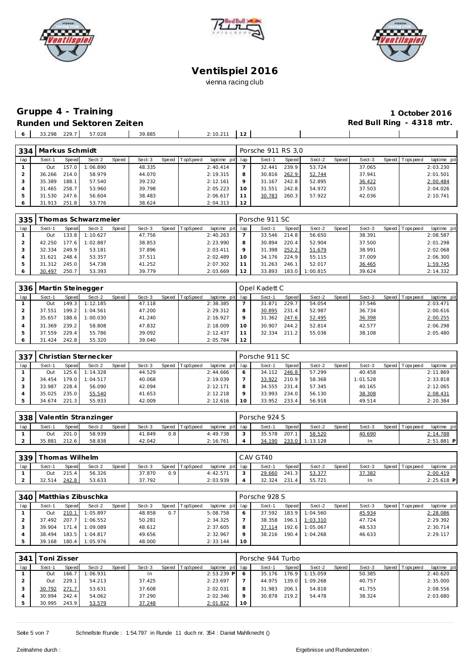





# **Gruppe 4 - Training 1 October 2016 Runden und Sektoren Zeiten Red Bull Ring - 4318 mtr.**

| 229<br>33.298 | 57.028 | 39.885 | 2:10.27 |  |  |  |
|---------------|--------|--------|---------|--|--|--|
|               |        |        |         |  |  |  |

| 334 | Markus Schmidt |        |          |       |        |       |          |                 |    | Porsche 911 RS 3.0 |       |        |       |        |                |             |
|-----|----------------|--------|----------|-------|--------|-------|----------|-----------------|----|--------------------|-------|--------|-------|--------|----------------|-------------|
| lap | Sect-1         | Speed  | Sect-2   | Speed | Sect-3 | Speed | TopSpeed | laptime pit lap |    | Sect-1             | Speed | Sect-2 | Speed | Sect-3 | Speed Topspeed | laptime pit |
|     | Out            | 157.0  | 1:06.890 |       | 48.335 |       |          | 2:40.414        |    | 32.441             | 239.9 | 53.724 |       | 37.065 |                | 2:03.230    |
|     | 36.266         | 214.0  | 58.979   |       | 44.070 |       |          | 2:19.315        | 8  | 30.816             | 262.9 | 52.744 |       | 37.941 |                | 2:01.501    |
|     | 35.389         | 188.1  | 57.540   |       | 39.232 |       |          | 2:12.161        |    | 31.167             | 242.8 | 52.895 |       | 36.422 |                | 2:00.484    |
| 4   | 31.465         | 258.7  | 53.960   |       | 39.798 |       |          | 2:05.223        | 10 | 31.551             | 242.8 | 54.972 |       | 37.503 |                | 2:04.026    |
| 5   | 31.530         | 247.61 | 56.604   |       | 38.483 |       |          | 2:06.617        |    | 30.783             | 260.3 | 57.922 |       | 42.036 |                | 2:10.741    |
|     | 31.913 251.8   |        | 53.776   |       | 38.624 |       |          | 2:04.313        | 12 |                    |       |        |       |        |                |             |

| 335 |        |       | Thomas Schwarzmeier |       |        |       |                 |                 |    | Porsche 911 SC |       |          |       |        |                |             |
|-----|--------|-------|---------------------|-------|--------|-------|-----------------|-----------------|----|----------------|-------|----------|-------|--------|----------------|-------------|
| lap | Sect-1 | Speed | Sect-2              | Speed | Sect-3 | Speed | <b>TopSpeed</b> | laptime pit lap |    | Sect-1         | Speed | Sect-2   | Speed | Sect-3 | Speed Topspeed | laptime pit |
|     | Out    | 33.8  | 1:10.627            |       | 47.756 |       |                 | 2:40.263        |    | 33.546         | 214.8 | 56.650   |       | 38.391 |                | 2:08.587    |
|     | 42.250 | 77.6  | 1:02.887            |       | 38.853 |       |                 | 2:23.990        | 8  | 30.894         | 220.4 | 52.904   |       | 37.500 |                | 2:01.298    |
|     | 32.334 | 249.9 | 53.181              |       | 37.896 |       |                 | 2:03.411        |    | 31.398         | 252.2 | 51.679   |       | 38.991 |                | 2:02.068    |
|     | 31.621 | 248.4 | 53.357              |       | 37.511 |       |                 | 2:02.489        |    | 34.176         | 224.9 | 55.115   |       | 37.009 |                | 2:06.300    |
|     | 31.312 | 245.0 | 54.738              |       | 41.252 |       |                 | 2:07.302        |    | 31.263         | 246.1 | 52.017   |       | 36.465 |                | 1:59.745    |
|     | 30.497 | 250.7 | 53.393              |       | 39.779 |       |                 | 2:03.669        | 12 | 33.893         | 183.0 | 1:00.815 |       | 39.624 |                | 2:14.332    |

| 336 |        |        | Martin Steinegger |       |        |                |                 |             | Opel Kadett C |       |        |       |        |                 |             |
|-----|--------|--------|-------------------|-------|--------|----------------|-----------------|-------------|---------------|-------|--------|-------|--------|-----------------|-------------|
| lap | Sect-1 | Speed  | Sect-2            | Speed | Sect-3 | Speed TopSpeed | laptime pit lap |             | Sect-1        | Speed | Sect-2 | Speed | Sect-3 | Speed Tops peed | laptime pit |
|     | Out    | 149.31 | 1:12.185          |       | 47.118 |                | 2:38.385        |             | 31.871        | 229.7 | 54.054 |       | 37.546 |                 | 2:03.471    |
|     | 37.551 | 199.2  | 1:04.561          |       | 47.200 |                | 2:29.312        | 8           | 30.895        | 231.4 | 52.987 |       | 36.734 |                 | 2:00.616    |
|     | 35.657 | 188.6  | 1:00.030          |       | 41.240 |                | 2:16.927        | $\mathsf Q$ | 31.362        | 247.6 | 52.495 |       | 36.398 |                 | 2:00.255    |
|     | 31.369 | 239.2  | 58.808            |       | 47.832 |                | 2:18.009        | $10^{-}$    | 30.907        | 244.2 | 52.814 |       | 42.577 |                 | 2:06.298    |
|     | 37.559 | 229.4  | 55.786            |       | 39.092 |                | 2:12.437        |             | 32.334        | 211.2 | 55.038 |       | 38.108 |                 | 2:05.480    |
|     | 31.424 | 242.8  | 55.320            |       | 39.040 |                | 2:05.784        | 12          |               |       |        |       |        |                 |             |

| 337 |        |        | Christian Sternecker |              |        |       |          |                 |    | Porsche 911 SC |       |        |       |          |                 |             |
|-----|--------|--------|----------------------|--------------|--------|-------|----------|-----------------|----|----------------|-------|--------|-------|----------|-----------------|-------------|
| lap | Sect-1 | Speed  | Sect-2               | <b>Speed</b> | Sect-3 | Speed | TopSpeed | laptime pit lap |    | Sect-1         | Speed | Sect-2 | Speed | Sect-3   | Speed Tops peed | laptime pit |
|     | Out    | 125.6  | 1:14.328             |              | 44.529 |       |          | 2:44.666        |    | 34.112         | 246.8 | 57.299 |       | 40.458   |                 | 2:11.869    |
|     | 34.454 | 179.01 | 1:04.517             |              | 40.068 |       |          | 2:19.039        |    | 33.922         | 210.9 | 58.368 |       | 1:01.528 |                 | 2:33.818    |
|     | 33.987 | 228.4  | 56.090               |              | 42.094 |       |          | 2:12.171        |    | 34.555         | 231.4 | 57.345 |       | 40.165   |                 | 2:12.065    |
|     | 35.025 | 235.0  | 55.540               |              | 41.653 |       |          | 2:12.218        |    | 33.993         | 234.0 | 56.130 |       | 38.308   |                 | 2:08.431    |
|     | 34.674 | 221.3  | 55.933               |              | 42.009 |       |          | 2:12.616        | 10 | 33.952         | 233.4 | 56.918 |       | 49.514   |                 | 2:20.384    |

| 338 |        |       | Valentin Stranzinger |       |        |     |                |                 | Porsche 924 S |              |                |       |        |                   |              |
|-----|--------|-------|----------------------|-------|--------|-----|----------------|-----------------|---------------|--------------|----------------|-------|--------|-------------------|--------------|
| lap | Sect-1 | Speed | Sect-2               | Speed | Sect-3 |     | Speed TopSpeed | laptime pit lap | Sect-1        | <b>Speed</b> | Sect-2         | Speed | Sect-3 | Speed   Tops peed | laptime pit  |
|     | Out    | 201.0 | 58.939               |       | 41.849 | 0.8 |                | 4:49.738        | 35.578        | 207.1        | 58.520         |       | 40.690 |                   | 2:14.788     |
|     | 35.881 | 212.6 | 58.838               |       | 42.042 |     |                | 2:16.761        | 34.190        |              | 233.0 1:13.128 |       | -ln    |                   | $2:51.881$ P |

| 339 |        | [homas Wilhelm |        |              |        |     |                |          |            | CAV GT40 |              |        |       |        |                |              |
|-----|--------|----------------|--------|--------------|--------|-----|----------------|----------|------------|----------|--------------|--------|-------|--------|----------------|--------------|
| lap | Sect-1 | Speed          | Sect-2 | <b>Speed</b> | Sect-3 |     | Speed TopSpeed | laptime  | pit lap    | Sect-    | <b>Speed</b> | Sect-2 | Speed | Sect-3 | Speed Topspeed | laptime pit  |
|     | Out    | 215A           | 56.326 |              | 37.870 | 0.9 |                | 4:42.571 | $\sqrt{2}$ | 29.660   | 241.3        | 53.377 |       | 37.382 |                | 2:00.419     |
|     | 32.514 | 242.8          | 53.633 |              | 37.792 |     |                | 2:03.939 |            | 32.324   | 231.         | 55.721 |       | In     |                | $2:25.618$ P |

| 340 |        |       | Matthias Zibuschka |       |        |     |                  |                 |    | Porsche 928 S |       |          |       |        |         |            |             |
|-----|--------|-------|--------------------|-------|--------|-----|------------------|-----------------|----|---------------|-------|----------|-------|--------|---------|------------|-------------|
| lap | Sect-1 | Speed | Sect-2             | Speed | Sect-3 |     | Speed   TopSpeed | laptime pit lap |    | Sect-1        | Speed | Sect-2   | Speed | Sect-3 | Speed I | Tops pee d | laptime pit |
|     | Out    | 210.1 | 1:05.897           |       | 48.858 | 0.7 |                  | 5:08.758        |    | 37.592        | 183.9 | 1:04.560 |       | 45.934 |         |            | 2:28.086    |
|     | 37.492 | 207.7 | 1:06.552           |       | 50.281 |     |                  | 2:34.325        |    | 38.358        | 196.1 | 1:03.310 |       | 47.724 |         |            | 2:29.392    |
|     | 39.904 | 171.4 | 1:09.089           |       | 48.612 |     |                  | 2:37.605        |    | 37.114        | 192.6 | 1:05.067 |       | 48.533 |         |            | 2:30.714    |
|     | 38.494 | 183.5 | 1:04.817           |       | 49.656 |     |                  | 2:32.967        |    | 38.216        | 190.4 | 1:04.268 |       | 46.633 |         |            | 2:29.117    |
|     | 39.168 | 180.4 | 1:05.976           |       | 48.000 |     |                  | 2:33.144        | 10 |               |       |          |       |        |         |            |             |

| 341 |        | ⊺oni Zisser |          |       |        |                |                 |         | Porsche 944 Turbo |              |          |       |        |                |             |
|-----|--------|-------------|----------|-------|--------|----------------|-----------------|---------|-------------------|--------------|----------|-------|--------|----------------|-------------|
| lap | Sect-1 | Speed       | Sect-2   | Speed | Sect-3 | Speed TopSpeed | laptime pit lap |         | Sect-1            | <b>Speed</b> | Sect-2   | Speed | Sect-3 | Speed Topspeed | laptime pit |
|     | Out    | 166.7       | 1:06.931 |       | In     |                | $2:53.239$ P    |         | 35.176            | 176.9        | 1:15.059 |       | 50.385 |                | 2:40.620    |
|     | Out    | 229.1       | 54.213   |       | 37.425 |                | 2:23.697        |         | 44.975            | 139.0        | 1:09.268 |       | 40.757 |                | 2:35.000    |
|     | 30.792 | 271.7       | 53.631   |       | 37.608 |                | 2:02.031        | 8       | 31.983            | 206.1        | 54.818   |       | 41.755 |                | 2:08.556    |
|     | 30.994 | 242.4       | 54.062   |       | 37.290 |                | 2:02.346        | $\circ$ | 30.878            | 219.2        | 54.478   |       | 38.324 |                | 2:03.680    |
|     | 30.995 | 243.9       | 53.579   |       | 37.248 |                | 2:01.822        | 10      |                   |              |          |       |        |                |             |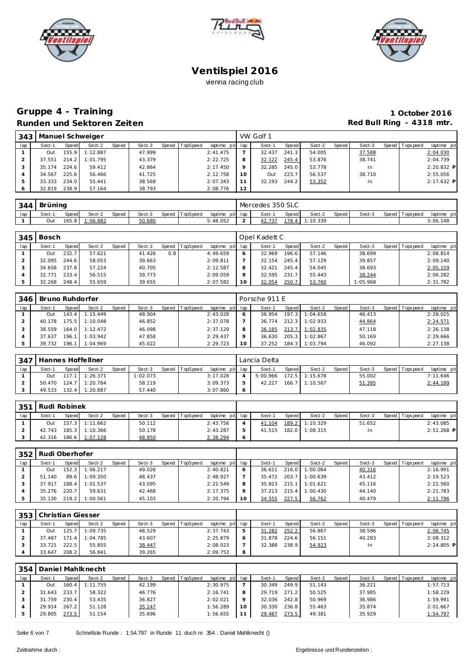





### **Gruppe 4 - Training 1 October 2016 Runden und Sektoren Zeiten Red Bull Ring - 4318 mtr.**

|     | 343   Manuel Schweiger |       |          |       |        |                |                 |    | VW Golf 1 |       |        |       |        |                |              |
|-----|------------------------|-------|----------|-------|--------|----------------|-----------------|----|-----------|-------|--------|-------|--------|----------------|--------------|
| lap | Sect-1                 | Speed | Sect-2   | Speed | Sect-3 | Speed TopSpeed | laptime pit lap |    | Sect-1    | Speed | Sect-2 | Speed | Sect-3 | Speed Topspeed | laptime pit  |
|     | Out                    | 155.9 | 1:12.887 |       | 47.999 |                | 2:41.475        |    | 32.437    | 241.3 | 54.005 |       | 37.588 |                | 2:04.030     |
|     | 37.551                 | 214.2 | 1:01.795 |       | 43.379 |                | 2:22.725        | 8  | 32.122    | 245.4 | 53.876 |       | 38.741 |                | 2:04.739     |
|     | 35.174                 | 224.6 | 59.412   |       | 42.864 |                | 2:17.450        |    | 32.285    | 245.0 | 53.778 |       | In     |                | $2:20.832$ P |
|     | 34.567                 | 225.6 | 56.466   |       | 41.725 |                | 2:12.758        | 10 | Out       | 223.7 | 56.537 |       | 38.710 |                | 2:55.056     |
|     | 33.333                 | 234.0 | 55.441   |       | 38.569 |                | 2:07.343        |    | 32.193    | 244.2 | 53.352 |       | In.    |                | $2:17.632$ P |
|     | 32.819                 | 238.9 | 57.164   |       | 38.793 |                | 2:08.776        | 12 |           |       |        |       |        |                |              |

| 344 | Brüning |         |          |       |        |       |          |                 |  | Mercedes 350 SLC |       |          |       |        |                 |                |
|-----|---------|---------|----------|-------|--------|-------|----------|-----------------|--|------------------|-------|----------|-------|--------|-----------------|----------------|
| lap | Sect-   | Speed   | Sect-2   | Speed | Sect-3 | Speed | TopSpeed | laptime pit lap |  | Sect-1           | Speed | Sect-2   | Speed | Sect-3 | Speed Tops peed | pit<br>laptime |
|     | Out     | 165.8 l | 1:06.882 |       | 50.680 |       |          | 5:48.052        |  | 42.737           | 178.4 | 1:10.339 |       |        |                 | 3:06.148       |

| 345 | Bosch  |              |        |              |        |       |          |             |         | Opel Kadett C |                    |        |       |          |                 |             |
|-----|--------|--------------|--------|--------------|--------|-------|----------|-------------|---------|---------------|--------------------|--------|-------|----------|-----------------|-------------|
| lap | Sect-1 | <b>Speed</b> | Sect-2 | <b>Speed</b> | Sect-3 | Speed | TopSpeed | laptime pit | lap     | Sect-1        | <b>Speed</b>       | Sect-2 | Speed | Sect-3   | Speed Tops peed | laptime pit |
|     | Out    | 232.         | 57.621 |              | 41.426 | 0.8   |          | 4:49.659    |         | 32.969        | 196.6 <sub>1</sub> | 57.146 |       | 38.699   |                 | 2:08.814    |
|     | 32.095 | 244.6        | 58.053 |              | 39.663 |       |          | 2:09.811    |         | 32.154        | 245.4              | 57.129 |       | 39.857   |                 | 2:09.140    |
|     | 34.658 | 237.81       | 57.224 |              | 40.705 |       |          | 2:12.587    | 8       | 32.421        | 245.4              | 54.045 |       | 38.693   |                 | 2:05.159    |
|     | 32.771 | 233.4        | 56.515 |              | 39.773 |       |          | 2:09.059    | $\circ$ | 32.595        | 231.7              | 55.443 |       | 38.244   |                 | 2:06.282    |
|     | 32.268 | 248.4        | 55.659 |              | 39.655 |       |          | 2:07.582    | 10      | 32.054        | 250.7              | 53.760 |       | 1:05.968 |                 | 2:31.782    |

| 346 | Bruno Ruhdorfer |         |                |       |        |                |                 | Porsche 911 E |       |          |       |        |                 |             |
|-----|-----------------|---------|----------------|-------|--------|----------------|-----------------|---------------|-------|----------|-------|--------|-----------------|-------------|
| lap | Sect-1          | Speed   | Sect-2         | Speed | Sect-3 | Speed TopSpeed | laptime pit lap | Sect-1        | Speed | Sect-2   | Speed | Sect-3 | Speed Tops peed | laptime pit |
|     | <b>Out</b>      |         | 143.4 1:15.449 |       | 48.904 |                | 2:43.028        | 36.954        | 197.3 | 1:04.658 |       | 46.413 |                 | 2:28.025    |
|     | 40.178          | 175.5 I | 1:10.048       |       | 46.852 |                | 2:37.078        | 36.774        | 212.3 | 1:02.933 |       | 44.864 |                 | 2:24.571    |
|     | 38.559          | 164.0   | 1:12.472       |       | 46.098 |                | 2:37.129        | 36.185        | 213.7 | 1:02.835 |       | 47.118 |                 | 2:26.138    |
|     | 37.637          | 196.1   | 1:03.942       |       | 47.858 |                | 2:29.437        | 36.630        | 205.3 | 1:02.867 |       | 50.169 |                 | 2:29.666    |
|     | 39.732          | 196.1   | 1:04.969       |       | 45.022 |                | 2:29.723        | 37.252        | 184.3 | 1:03.794 |       | 46.092 |                 | 2:27.138    |

| 347 |        |           | Hannes Hoffellner |       |         |       |          |                 | Lancia Delta |              |                  |       |        |                |             |
|-----|--------|-----------|-------------------|-------|---------|-------|----------|-----------------|--------------|--------------|------------------|-------|--------|----------------|-------------|
| lap | Sect-1 | Speed     | Sect-2            | Speed | Sect-3  | Speed | TopSpeed | laptime pit lap | Sect-1       | <b>Speed</b> | Sect-2           | Speed | Sect-3 | Speed Topspeed | laptime pit |
|     | Out    |           | $117.1$ 1:26.371  |       | :02.073 |       |          | 3:17.028        | 5:00.966     |              | $172.5$ 1:15.678 |       | 55.002 |                | 7:11.646    |
|     | 50.470 |           | 124.7 1:20.784    |       | 58.119  |       |          | 3:09.373        | 42.227       | 166.7        | 1:10.567         |       | 51.395 |                | 2:44.189    |
|     | 49.533 | $132.4 -$ | 1:20.887          |       | 57.440  |       |          | 3:07.860        |              |              |                  |       |        |                |             |

| 351 | Rudi Robinek |       |                |       |        |       |          |                 |        |       |                |         |        |                 |              |
|-----|--------------|-------|----------------|-------|--------|-------|----------|-----------------|--------|-------|----------------|---------|--------|-----------------|--------------|
| lap | Sect-1       | Speed | Sect-2         | Speed | Sect-3 | Speed | TopSpeed | laptime pit lap | Sect-1 | Speed | Sect-2         | Speed I | Sect-3 | Speed Tops peed | laptime pit  |
|     | Out          |       | 157.3 1:11.662 |       | 50.112 |       |          | 2:43.756        | 41.104 | 189.2 | 1:10.329       |         | 51.652 |                 | 2:43.085     |
|     | 42.743       |       | 185.3 1:10.366 |       | 50.178 |       |          | 2:43.287        | 41.515 |       | 182.0 1:08.315 |         |        |                 | $2:51.268$ P |
|     | 42.316       |       | 186.6 1:07.128 |       | 48.850 |       |          | 2:38.294        |        |       |                |         |        |                 |              |

|     | 352   Rudi Oberhofer |        |          |              |        |  |                |                 |    |        |       |          |       |        |                 |             |
|-----|----------------------|--------|----------|--------------|--------|--|----------------|-----------------|----|--------|-------|----------|-------|--------|-----------------|-------------|
| lap | Sect-1               | Speed  | Sect-2   | <b>Speed</b> | Sect-3 |  | Speed TopSpeed | laptime pit lap |    | Sect-1 | Speed | Sect-2   | Speed | Sect-3 | Speed Tops peed | laptime pit |
|     | Out                  | 152.3  | 1:06.217 |              | 49.026 |  |                | 2:40.821        | 6  | 36.611 | 216.0 | 1:00.064 |       | 40.316 |                 | 2:16.991    |
|     | 51.140               | 89.6   | 1:09.350 |              | 48.437 |  |                | 2:48.927        |    | 35.472 | 203.7 | 1:00.639 |       | 43.412 |                 | 2:19.523    |
|     | 37.917               | 188.4  | 1:01.537 |              | 43.095 |  |                | 2:22.549        | 8  | 35.823 | 215.1 | 1:01.621 |       | 45.116 |                 | 2:22.560    |
|     | 35.276               | 220.7  | 59.631   |              | 42.468 |  |                | 2:17.375        | Q  | 37.213 | 215.4 | 1:00.430 |       | 44.140 |                 | 2:21.783    |
|     | 35.130               | 219.21 | 1:00.561 |              | 45.103 |  |                | 2:20.794        | 10 | 34.555 | 227.5 | 56.762   |       | 40.479 |                 | 2:11.796    |

|     | 353   Christian Giesser |       |          |       |        |  |                |             |     |        |              |        |       |        |                |              |
|-----|-------------------------|-------|----------|-------|--------|--|----------------|-------------|-----|--------|--------------|--------|-------|--------|----------------|--------------|
| lap | Sect-1                  | Speed | Sect-2   | Speed | Sect-3 |  | Speed TopSpeed | laptime pit | lap | Sect-1 | <b>Speed</b> | Sect-2 | Speed | Sect-3 | Speed Topspeed | laptime pit  |
|     | Out                     | 25.7  | 1:09.735 |       | 48.529 |  |                | 2:37.743    | 5   | 31.282 | 252.2        | 56.867 |       | 38.596 |                | 2:06.745     |
|     | 37.487                  | 71    | 1:04.785 |       | 43.607 |  |                | 2:25.879    | O   | 31.878 | 224.6        | 56.151 |       | 40.283 |                | 2:08.312     |
|     | 33.721                  | 222.5 | 55.855   |       | 38.447 |  |                | 2:08.023    |     | 32.388 | 238.9        | 54.923 |       | In     |                | $2:24.805$ P |
|     | 33.647                  | 208.2 | 56.841   |       | 39.265 |  |                | 2:09.753    | 8   |        |              |        |       |        |                |              |

| 354 | Daniel Mahlknecht |       |          |       |        |       |          |                 |    |        |       |        |         |        |                |             |
|-----|-------------------|-------|----------|-------|--------|-------|----------|-----------------|----|--------|-------|--------|---------|--------|----------------|-------------|
| lap | Sect-1            | Speed | Sect-2   | Speed | Sect-3 | Speed | TopSpeed | laptime pit lap |    | Sect-1 | Speed | Sect-2 | Speed I | Sect-3 | Speed Topspeed | laptime pit |
|     | Out               | 160.4 | 1:11.755 |       | 42.199 |       |          | 2:30.975        |    | 30.349 | 249.9 | 51.143 |         | 36.221 |                | 1:57.713    |
|     | 31.643            | 233.7 | 58.322   |       | 46.776 |       |          | 2:16.741        |    | 29.719 | 271.2 | 50.525 |         | 37.985 |                | 1:58.229    |
|     | 31.759            | 230.4 | 53.435   |       | 36.827 |       |          | 2:02.021        |    | 32.036 | 242.8 | 50.969 |         | 36.986 |                | 1:59.991    |
|     | 29.914            | 267.2 | 51.128   |       | 35.247 |       |          | 1:56.289        | 10 | 30.330 | 236.8 | 55.463 |         | 35.874 |                | 2:01.667    |
|     | 29.805            | 273.5 | 51.154   |       | 35.696 |       |          | 1:56.655        |    | 29.487 | 273.5 | 49.381 |         | 35.929 |                | 1:54.797    |